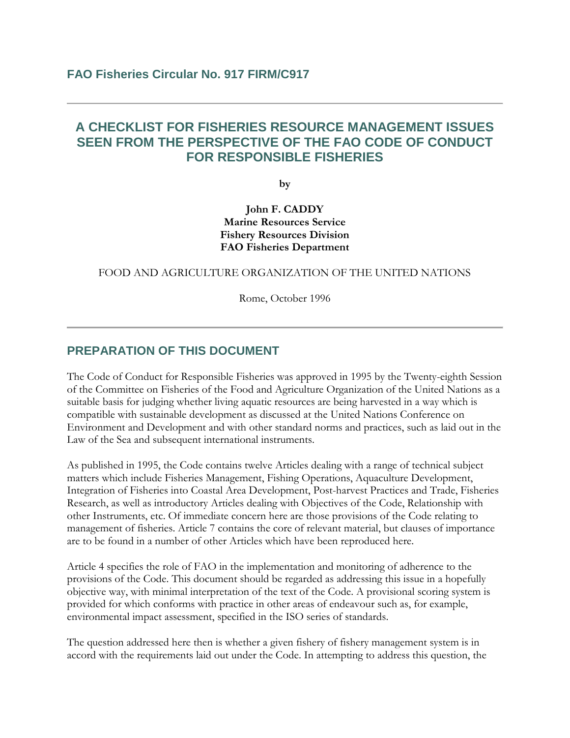# **A CHECKLIST FOR FISHERIES RESOURCE MANAGEMENT ISSUES SEEN FROM THE PERSPECTIVE OF THE FAO CODE OF CONDUCT FOR RESPONSIBLE FISHERIES**

**by**

**John F. CADDY Marine Resources Service Fishery Resources Division FAO Fisheries Department**

#### FOOD AND AGRICULTURE ORGANIZATION OF THE UNITED NATIONS

Rome, October 1996

### **PREPARATION OF THIS DOCUMENT**

The Code of Conduct for Responsible Fisheries was approved in 1995 by the Twenty-eighth Session of the Committee on Fisheries of the Food and Agriculture Organization of the United Nations as a suitable basis for judging whether living aquatic resources are being harvested in a way which is compatible with sustainable development as discussed at the United Nations Conference on Environment and Development and with other standard norms and practices, such as laid out in the Law of the Sea and subsequent international instruments.

As published in 1995, the Code contains twelve Articles dealing with a range of technical subject matters which include Fisheries Management, Fishing Operations, Aquaculture Development, Integration of Fisheries into Coastal Area Development, Post-harvest Practices and Trade, Fisheries Research, as well as introductory Articles dealing with Objectives of the Code, Relationship with other Instruments, etc. Of immediate concern here are those provisions of the Code relating to management of fisheries. Article 7 contains the core of relevant material, but clauses of importance are to be found in a number of other Articles which have been reproduced here.

Article 4 specifies the role of FAO in the implementation and monitoring of adherence to the provisions of the Code. This document should be regarded as addressing this issue in a hopefully objective way, with minimal interpretation of the text of the Code. A provisional scoring system is provided for which conforms with practice in other areas of endeavour such as, for example, environmental impact assessment, specified in the ISO series of standards.

The question addressed here then is whether a given fishery of fishery management system is in accord with the requirements laid out under the Code. In attempting to address this question, the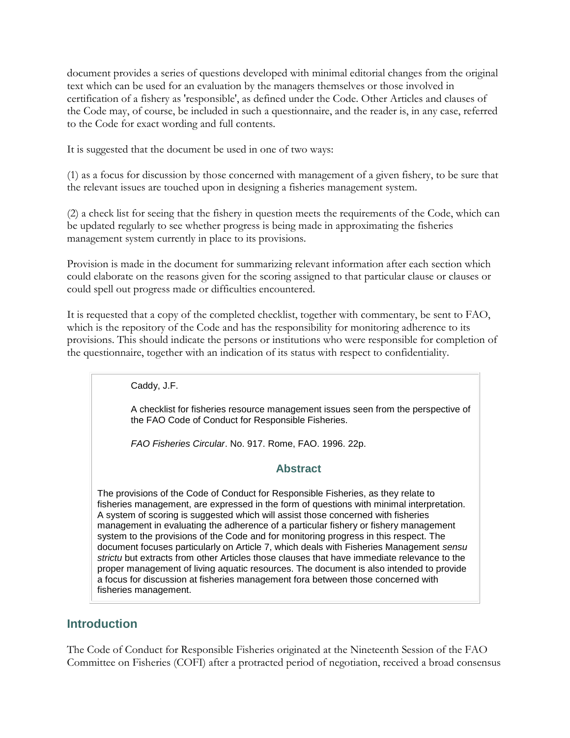document provides a series of questions developed with minimal editorial changes from the original text which can be used for an evaluation by the managers themselves or those involved in certification of a fishery as 'responsible', as defined under the Code. Other Articles and clauses of the Code may, of course, be included in such a questionnaire, and the reader is, in any case, referred to the Code for exact wording and full contents.

It is suggested that the document be used in one of two ways:

(1) as a focus for discussion by those concerned with management of a given fishery, to be sure that the relevant issues are touched upon in designing a fisheries management system.

(2) a check list for seeing that the fishery in question meets the requirements of the Code, which can be updated regularly to see whether progress is being made in approximating the fisheries management system currently in place to its provisions.

Provision is made in the document for summarizing relevant information after each section which could elaborate on the reasons given for the scoring assigned to that particular clause or clauses or could spell out progress made or difficulties encountered.

It is requested that a copy of the completed checklist, together with commentary, be sent to FAO, which is the repository of the Code and has the responsibility for monitoring adherence to its provisions. This should indicate the persons or institutions who were responsible for completion of the questionnaire, together with an indication of its status with respect to confidentiality.

Caddy, J.F.

A checklist for fisheries resource management issues seen from the perspective of the FAO Code of Conduct for Responsible Fisheries.

*FAO Fisheries Circular*. No. 917. Rome, FAO. 1996. 22p.

### **Abstract**

The provisions of the Code of Conduct for Responsible Fisheries, as they relate to fisheries management, are expressed in the form of questions with minimal interpretation. A system of scoring is suggested which will assist those concerned with fisheries management in evaluating the adherence of a particular fishery or fishery management system to the provisions of the Code and for monitoring progress in this respect. The document focuses particularly on Article 7, which deals with Fisheries Management *sensu strictu* but extracts from other Articles those clauses that have immediate relevance to the proper management of living aquatic resources. The document is also intended to provide a focus for discussion at fisheries management fora between those concerned with fisheries management.

## **Introduction**

The Code of Conduct for Responsible Fisheries originated at the Nineteenth Session of the FAO Committee on Fisheries (COFI) after a protracted period of negotiation, received a broad consensus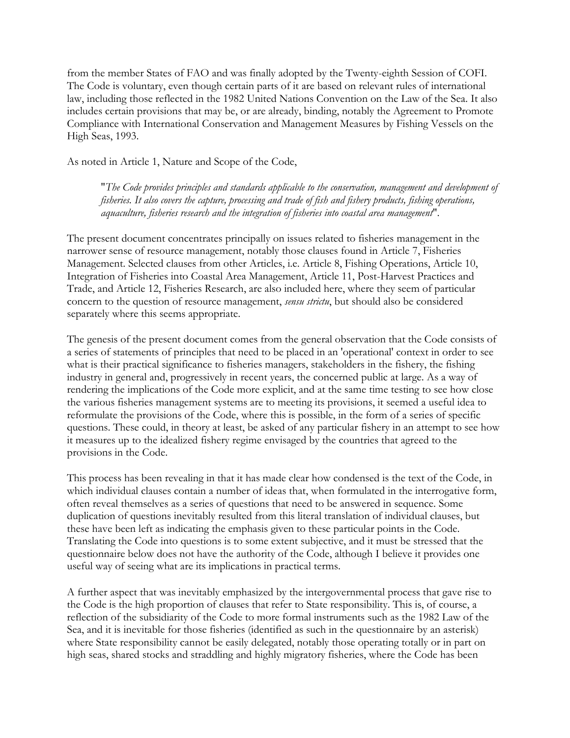from the member States of FAO and was finally adopted by the Twenty-eighth Session of COFI. The Code is voluntary, even though certain parts of it are based on relevant rules of international law, including those reflected in the 1982 United Nations Convention on the Law of the Sea. It also includes certain provisions that may be, or are already, binding, notably the Agreement to Promote Compliance with International Conservation and Management Measures by Fishing Vessels on the High Seas, 1993.

As noted in Article 1, Nature and Scope of the Code,

"*The Code provides principles and standards applicable to the conservation, management and development of fisheries. It also covers the capture, processing and trade of fish and fishery products, fishing operations, aquaculture, fisheries research and the integration of fisheries into coastal area management*".

The present document concentrates principally on issues related to fisheries management in the narrower sense of resource management, notably those clauses found in Article 7, Fisheries Management. Selected clauses from other Articles, i.e. Article 8, Fishing Operations, Article 10, Integration of Fisheries into Coastal Area Management, Article 11, Post-Harvest Practices and Trade, and Article 12, Fisheries Research, are also included here, where they seem of particular concern to the question of resource management, *sensu strictu*, but should also be considered separately where this seems appropriate.

The genesis of the present document comes from the general observation that the Code consists of a series of statements of principles that need to be placed in an 'operational' context in order to see what is their practical significance to fisheries managers, stakeholders in the fishery, the fishing industry in general and, progressively in recent years, the concerned public at large. As a way of rendering the implications of the Code more explicit, and at the same time testing to see how close the various fisheries management systems are to meeting its provisions, it seemed a useful idea to reformulate the provisions of the Code, where this is possible, in the form of a series of specific questions. These could, in theory at least, be asked of any particular fishery in an attempt to see how it measures up to the idealized fishery regime envisaged by the countries that agreed to the provisions in the Code.

This process has been revealing in that it has made clear how condensed is the text of the Code, in which individual clauses contain a number of ideas that, when formulated in the interrogative form, often reveal themselves as a series of questions that need to be answered in sequence. Some duplication of questions inevitably resulted from this literal translation of individual clauses, but these have been left as indicating the emphasis given to these particular points in the Code. Translating the Code into questions is to some extent subjective, and it must be stressed that the questionnaire below does not have the authority of the Code, although I believe it provides one useful way of seeing what are its implications in practical terms.

A further aspect that was inevitably emphasized by the intergovernmental process that gave rise to the Code is the high proportion of clauses that refer to State responsibility. This is, of course, a reflection of the subsidiarity of the Code to more formal instruments such as the 1982 Law of the Sea, and it is inevitable for those fisheries (identified as such in the questionnaire by an asterisk) where State responsibility cannot be easily delegated, notably those operating totally or in part on high seas, shared stocks and straddling and highly migratory fisheries, where the Code has been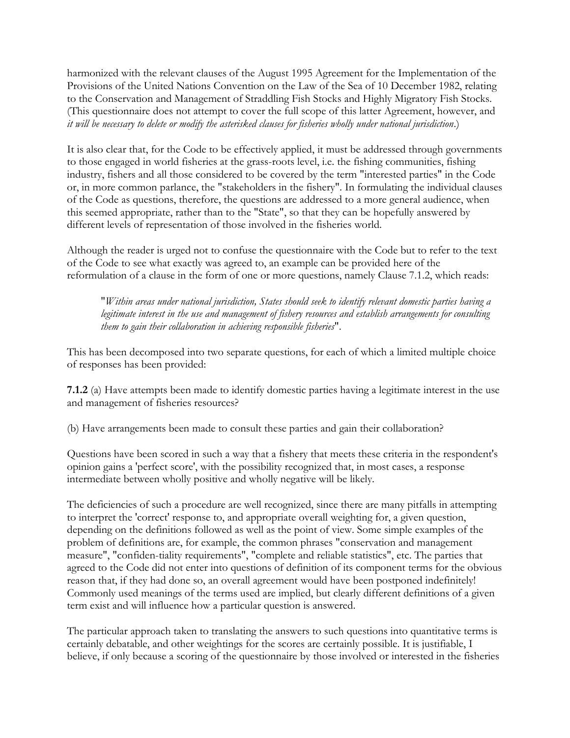harmonized with the relevant clauses of the August 1995 Agreement for the Implementation of the Provisions of the United Nations Convention on the Law of the Sea of 10 December 1982, relating to the Conservation and Management of Straddling Fish Stocks and Highly Migratory Fish Stocks. (This questionnaire does not attempt to cover the full scope of this latter Agreement, however, and *it will be necessary to delete or modify the asterisked clauses for fisheries wholly under national jurisdiction*.)

It is also clear that, for the Code to be effectively applied, it must be addressed through governments to those engaged in world fisheries at the grass-roots level, i.e. the fishing communities, fishing industry, fishers and all those considered to be covered by the term "interested parties" in the Code or, in more common parlance, the "stakeholders in the fishery". In formulating the individual clauses of the Code as questions, therefore, the questions are addressed to a more general audience, when this seemed appropriate, rather than to the "State", so that they can be hopefully answered by different levels of representation of those involved in the fisheries world.

Although the reader is urged not to confuse the questionnaire with the Code but to refer to the text of the Code to see what exactly was agreed to, an example can be provided here of the reformulation of a clause in the form of one or more questions, namely Clause 7.1.2, which reads:

"*Within areas under national jurisdiction, States should seek to identify relevant domestic parties having a legitimate interest in the use and management of fishery resources and establish arrangements for consulting them to gain their collaboration in achieving responsible fisheries*".

This has been decomposed into two separate questions, for each of which a limited multiple choice of responses has been provided:

**7.1.2** (a) Have attempts been made to identify domestic parties having a legitimate interest in the use and management of fisheries resources?

(b) Have arrangements been made to consult these parties and gain their collaboration?

Questions have been scored in such a way that a fishery that meets these criteria in the respondent's opinion gains a 'perfect score', with the possibility recognized that, in most cases, a response intermediate between wholly positive and wholly negative will be likely.

The deficiencies of such a procedure are well recognized, since there are many pitfalls in attempting to interpret the 'correct' response to, and appropriate overall weighting for, a given question, depending on the definitions followed as well as the point of view. Some simple examples of the problem of definitions are, for example, the common phrases "conservation and management measure", "confiden-tiality requirements", "complete and reliable statistics", etc. The parties that agreed to the Code did not enter into questions of definition of its component terms for the obvious reason that, if they had done so, an overall agreement would have been postponed indefinitely! Commonly used meanings of the terms used are implied, but clearly different definitions of a given term exist and will influence how a particular question is answered.

The particular approach taken to translating the answers to such questions into quantitative terms is certainly debatable, and other weightings for the scores are certainly possible. It is justifiable, I believe, if only because a scoring of the questionnaire by those involved or interested in the fisheries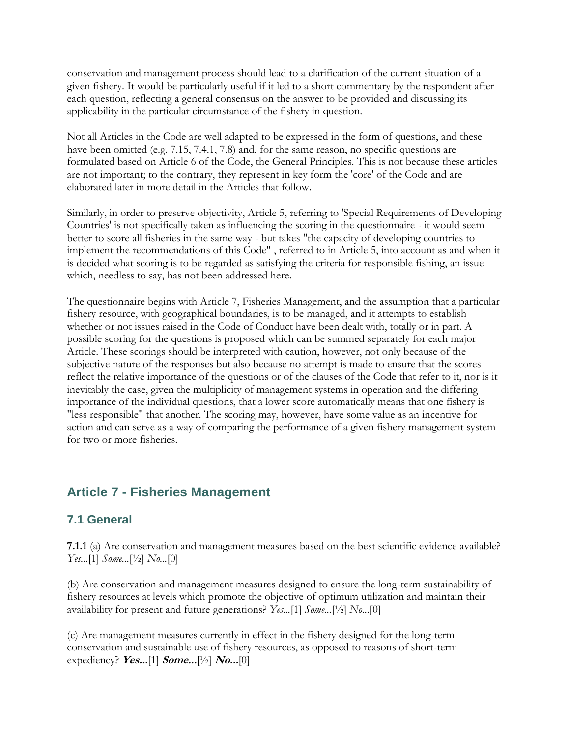conservation and management process should lead to a clarification of the current situation of a given fishery. It would be particularly useful if it led to a short commentary by the respondent after each question, reflecting a general consensus on the answer to be provided and discussing its applicability in the particular circumstance of the fishery in question.

Not all Articles in the Code are well adapted to be expressed in the form of questions, and these have been omitted (e.g. 7.15, 7.4.1, 7.8) and, for the same reason, no specific questions are formulated based on Article 6 of the Code, the General Principles. This is not because these articles are not important; to the contrary, they represent in key form the 'core' of the Code and are elaborated later in more detail in the Articles that follow.

Similarly, in order to preserve objectivity, Article 5, referring to 'Special Requirements of Developing Countries' is not specifically taken as influencing the scoring in the questionnaire - it would seem better to score all fisheries in the same way - but takes "the capacity of developing countries to implement the recommendations of this Code" , referred to in Article 5, into account as and when it is decided what scoring is to be regarded as satisfying the criteria for responsible fishing, an issue which, needless to say, has not been addressed here.

The questionnaire begins with Article 7, Fisheries Management, and the assumption that a particular fishery resource, with geographical boundaries, is to be managed, and it attempts to establish whether or not issues raised in the Code of Conduct have been dealt with, totally or in part. A possible scoring for the questions is proposed which can be summed separately for each major Article. These scorings should be interpreted with caution, however, not only because of the subjective nature of the responses but also because no attempt is made to ensure that the scores reflect the relative importance of the questions or of the clauses of the Code that refer to it, nor is it inevitably the case, given the multiplicity of management systems in operation and the differing importance of the individual questions, that a lower score automatically means that one fishery is "less responsible" that another. The scoring may, however, have some value as an incentive for action and can serve as a way of comparing the performance of a given fishery management system for two or more fisheries.

# **Article 7 - Fisheries Management**

# **7.1 General**

**7.1.1** (a) Are conservation and management measures based on the best scientific evidence available? *Yes...*[1] *Some...*[½] *No...*[0]

(b) Are conservation and management measures designed to ensure the long-term sustainability of fishery resources at levels which promote the objective of optimum utilization and maintain their availability for present and future generations? *Yes...*[1] *Some...*[½] *No...*[0]

(c) Are management measures currently in effect in the fishery designed for the long-term conservation and sustainable use of fishery resources, as opposed to reasons of short-term expediency? **Yes...**[1] **Some...**[½] **No...**[0]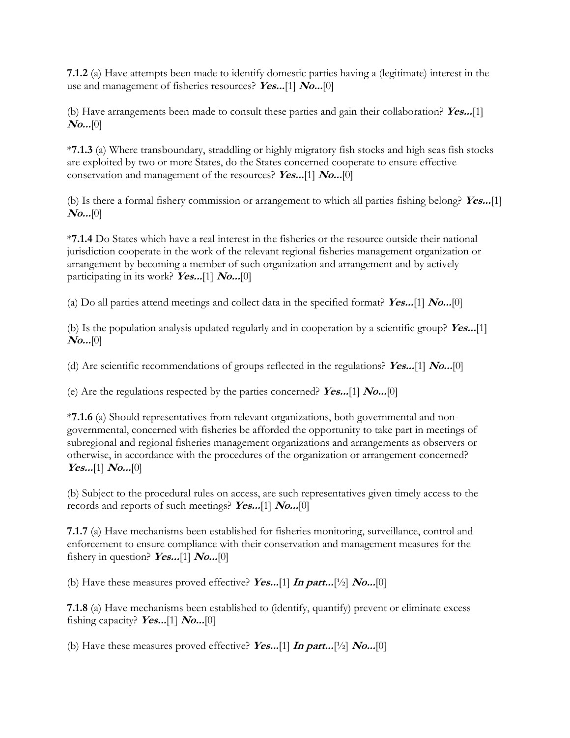**7.1.2** (a) Have attempts been made to identify domestic parties having a (legitimate) interest in the use and management of fisheries resources? **Yes...**[1] **No...**[0]

(b) Have arrangements been made to consult these parties and gain their collaboration? **Yes...**[1] **No...**[0]

\***7.1.3** (a) Where transboundary, straddling or highly migratory fish stocks and high seas fish stocks are exploited by two or more States, do the States concerned cooperate to ensure effective conservation and management of the resources? **Yes...**[1] **No...**[0]

(b) Is there a formal fishery commission or arrangement to which all parties fishing belong? **Yes...**[1] **No...**[0]

\***7.1.4** Do States which have a real interest in the fisheries or the resource outside their national jurisdiction cooperate in the work of the relevant regional fisheries management organization or arrangement by becoming a member of such organization and arrangement and by actively participating in its work? **Yes...**[1] **No...**[0]

(a) Do all parties attend meetings and collect data in the specified format? **Yes...**[1] **No...**[0]

(b) Is the population analysis updated regularly and in cooperation by a scientific group? **Yes...**[1] **No...**[0]

(d) Are scientific recommendations of groups reflected in the regulations? **Yes...**[1] **No...**[0]

(e) Are the regulations respected by the parties concerned? **Yes...**[1] **No...**[0]

\***7.1.6** (a) Should representatives from relevant organizations, both governmental and nongovernmental, concerned with fisheries be afforded the opportunity to take part in meetings of subregional and regional fisheries management organizations and arrangements as observers or otherwise, in accordance with the procedures of the organization or arrangement concerned? **Yes...**[1] **No...**[0]

(b) Subject to the procedural rules on access, are such representatives given timely access to the records and reports of such meetings? **Yes...**[1] **No...**[0]

**7.1.7** (a) Have mechanisms been established for fisheries monitoring, surveillance, control and enforcement to ensure compliance with their conservation and management measures for the fishery in question? **Yes...**[1] **No...**[0]

(b) Have these measures proved effective? **Yes...**[1] **In part...**[½] **No...**[0]

**7.1.8** (a) Have mechanisms been established to (identify, quantify) prevent or eliminate excess fishing capacity? **Yes...**[1] **No...**[0]

(b) Have these measures proved effective? **Yes...**[1] **In part...**[½] **No...**[0]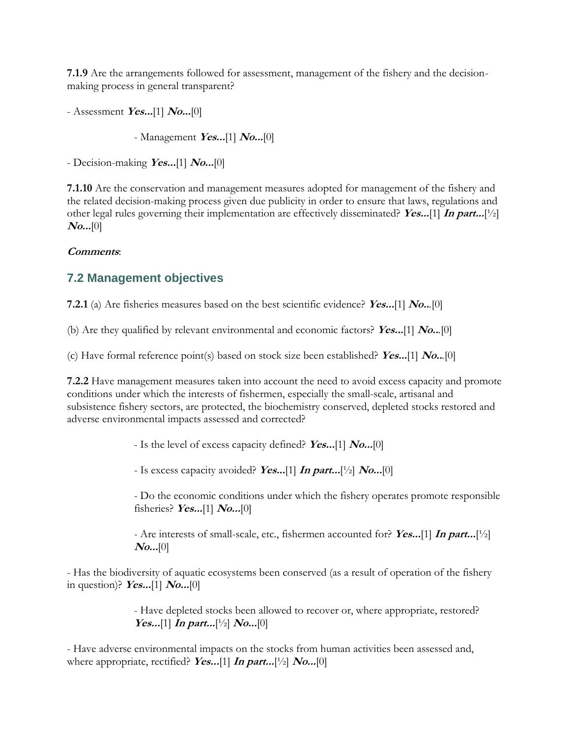**7.1.9** Are the arrangements followed for assessment, management of the fishery and the decisionmaking process in general transparent?

- Assessment **Yes...**[1] **No...**[0]

- Management **Yes...**[1] **No...**[0]

- Decision-making **Yes...**[1] **No...**[0]

**7.1.10** Are the conservation and management measures adopted for management of the fishery and the related decision-making process given due publicity in order to ensure that laws, regulations and other legal rules governing their implementation are effectively disseminated? **Yes...**[1] **In part...**[½] **No...**[0]

#### **Comments**:

## **7.2 Management objectives**

**7.2.1** (a) Are fisheries measures based on the best scientific evidence? **Yes...**[1] **No..***.*[0]

(b) Are they qualified by relevant environmental and economic factors? **Yes...**[1] **No..***.*[0]

(c) Have formal reference point(s) based on stock size been established? **Yes...**[1] **No..***.*[0]

**7.2.2** Have management measures taken into account the need to avoid excess capacity and promote conditions under which the interests of fishermen, especially the small-scale, artisanal and subsistence fishery sectors, are protected, the biochemistry conserved, depleted stocks restored and adverse environmental impacts assessed and corrected?

- Is the level of excess capacity defined? **Yes...**[1] **No...**[0]

- Is excess capacity avoided? **Yes...**[1] **In part...**[½] **No...**[0]

- Do the economic conditions under which the fishery operates promote responsible fisheries? **Yes...**[1] **No...**[0]

- Are interests of small-scale, etc., fishermen accounted for? **Yes...**[1] **In part...**[½] **No...**[0]

- Has the biodiversity of aquatic ecosystems been conserved (as a result of operation of the fishery in question)? **Yes...**[1] **No...**[0]

> - Have depleted stocks been allowed to recover or, where appropriate, restored? *Yes...*[1] *In part...*[1/2]  $\text{No...}$ [0]

- Have adverse environmental impacts on the stocks from human activities been assessed and, where appropriate, rectified? **Yes...**[1] **In part...**[½] **No...**[0]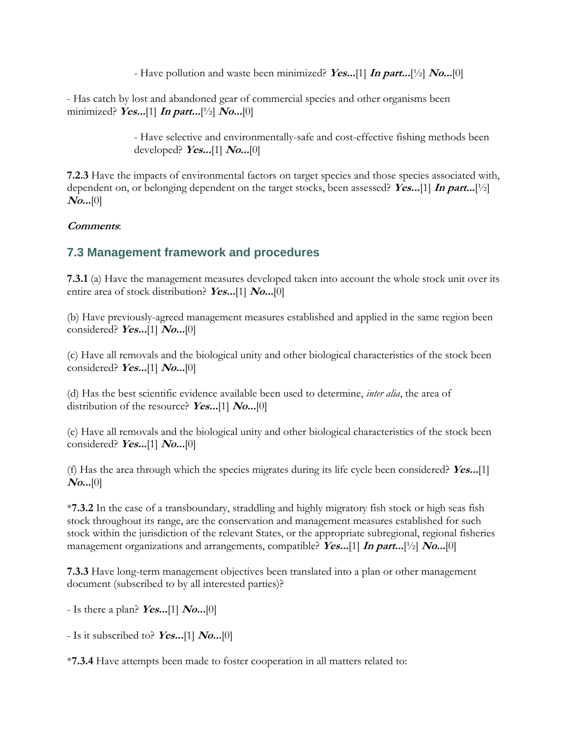- Have pollution and waste been minimized? **Yes...**[1] **In part...**[½] **No...**[0]

- Has catch by lost and abandoned gear of commercial species and other organisms been minimized? **Yes...**[1] **In part...**[½] **No...**[0]

> - Have selective and environmentally-safe and cost-effective fishing methods been developed? **Yes...**[1] **No...**[0]

**7.2.3** Have the impacts of environmental factors on target species and those species associated with, dependent on, or belonging dependent on the target stocks, been assessed? **Yes...**[1] **In part...**[½] **No...**[0]

#### **Comments**:

# **7.3 Management framework and procedures**

**7.3.1** (a) Have the management measures developed taken into account the whole stock unit over its entire area of stock distribution? **Yes...**[1] **No...**[0]

(b) Have previously-agreed management measures established and applied in the same region been considered? **Yes...**[1] **No...**[0]

(c) Have all removals and the biological unity and other biological characteristics of the stock been considered? **Yes...**[1] **No...**[0]

(d) Has the best scientific evidence available been used to determine, *inter alia*, the area of distribution of the resource? **Yes...**[1] **No...**[0]

(e) Have all removals and the biological unity and other biological characteristics of the stock been considered? **Yes...**[1] **No...**[0]

(f) Has the area through which the species migrates during its life cycle been considered? **Yes...**[1] **No...**[0]

\***7.3.2** In the case of a transboundary, straddling and highly migratory fish stock or high seas fish stock throughout its range, are the conservation and management measures established for such stock within the jurisdiction of the relevant States, or the appropriate subregional, regional fisheries management organizations and arrangements, compatible? **Yes...**[1] **In part...**[½] **No...**[0]

**7.3.3** Have long-term management objectives been translated into a plan or other management document (subscribed to by all interested parties)?

- Is there a plan? **Yes...**[1] **No...**[0]

- Is it subscribed to? **Yes...**[1] **No...**[0]

\***7.3.4** Have attempts been made to foster cooperation in all matters related to: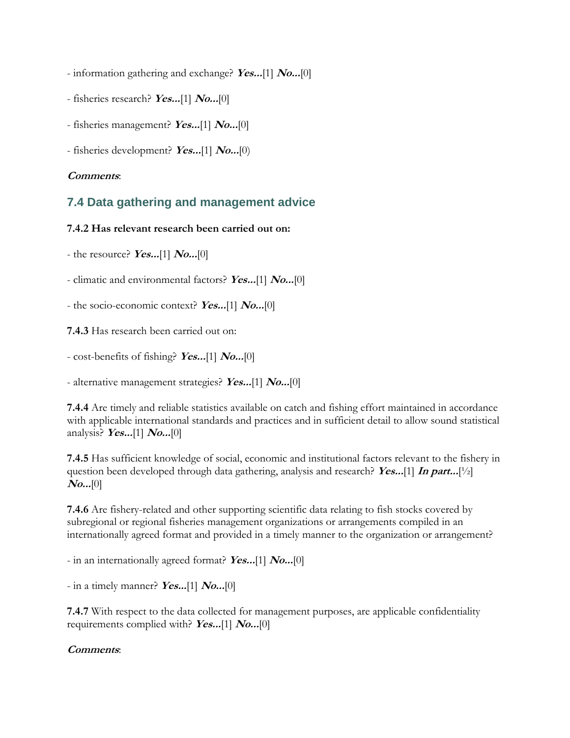- information gathering and exchange? **Yes...**[1] **No...**[0]

- fisheries research? **Yes...**[1] **No...**[0]
- fisheries management? **Yes...**[1] **No...**[0]
- fisheries development? **Yes...**[1] **No...**[0)

### **Comments**:

# **7.4 Data gathering and management advice**

### **7.4.2 Has relevant research been carried out on:**

- the resource? **Yes...**[1] **No...**[0]

- climatic and environmental factors? **Yes...**[1] **No...**[0]

- the socio-economic context? **Yes...**[1] **No...**[0]

**7.4.3** Has research been carried out on:

- cost-benefits of fishing? **Yes...**[1] **No...**[0]

- alternative management strategies? **Yes...**[1] **No...**[0]

**7.4.4** Are timely and reliable statistics available on catch and fishing effort maintained in accordance with applicable international standards and practices and in sufficient detail to allow sound statistical analysis? **Yes...**[1] **No...**[0]

**7.4.5** Has sufficient knowledge of social, economic and institutional factors relevant to the fishery in question been developed through data gathering, analysis and research? **Yes...**[1] **In part...**[½] **No...**[0]

**7.4.6** Are fishery-related and other supporting scientific data relating to fish stocks covered by subregional or regional fisheries management organizations or arrangements compiled in an internationally agreed format and provided in a timely manner to the organization or arrangement?

- in an internationally agreed format? **Yes...**[1] **No...**[0]

- in a timely manner? **Yes...**[1] **No...**[0]

**7.4.7** With respect to the data collected for management purposes, are applicable confidentiality requirements complied with? **Yes...**[1] **No...**[0]

### **Comments**: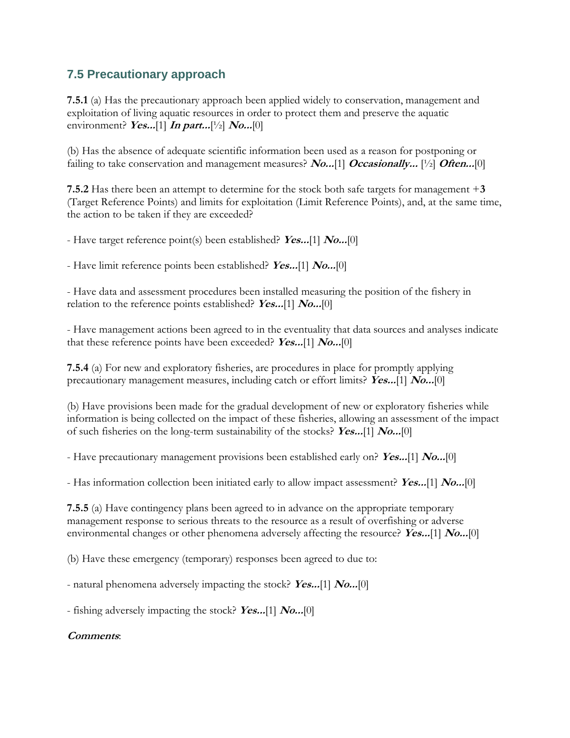# **7.5 Precautionary approach**

**7.5.1** (a) Has the precautionary approach been applied widely to conservation, management and exploitation of living aquatic resources in order to protect them and preserve the aquatic environment? *Yes...*[1] *In part...*[1/2] *No...*[0]

(b) Has the absence of adequate scientific information been used as a reason for postponing or failing to take conservation and management measures? **No...**[1] **Occasionally...** [½] **Often...**[0]

**7.5.2** Has there been an attempt to determine for the stock both safe targets for management +**3** (Target Reference Points) and limits for exploitation (Limit Reference Points), and, at the same time, the action to be taken if they are exceeded?

- Have target reference point(s) been established? **Yes...**[1] **No...**[0]

- Have limit reference points been established? **Yes...**[1] **No...**[0]

- Have data and assessment procedures been installed measuring the position of the fishery in relation to the reference points established? **Yes...**[1] **No...**[0]

- Have management actions been agreed to in the eventuality that data sources and analyses indicate that these reference points have been exceeded? **Yes...**[1] **No...**[0]

**7.5.4** (a) For new and exploratory fisheries, are procedures in place for promptly applying precautionary management measures, including catch or effort limits? **Yes...**[1] **No...**[0]

(b) Have provisions been made for the gradual development of new or exploratory fisheries while information is being collected on the impact of these fisheries, allowing an assessment of the impact of such fisheries on the long-term sustainability of the stocks? **Yes...**[1] **No...**[0]

- Have precautionary management provisions been established early on? **Yes...**[1] **No...**[0]

- Has information collection been initiated early to allow impact assessment? **Yes...**[1] **No...**[0]

**7.5.5** (a) Have contingency plans been agreed to in advance on the appropriate temporary management response to serious threats to the resource as a result of overfishing or adverse environmental changes or other phenomena adversely affecting the resource? **Yes...**[1] **No...**[0]

(b) Have these emergency (temporary) responses been agreed to due to:

- natural phenomena adversely impacting the stock? **Yes...**[1] **No...**[0]

- fishing adversely impacting the stock? **Yes...**[1] **No...**[0]

### **Comments**: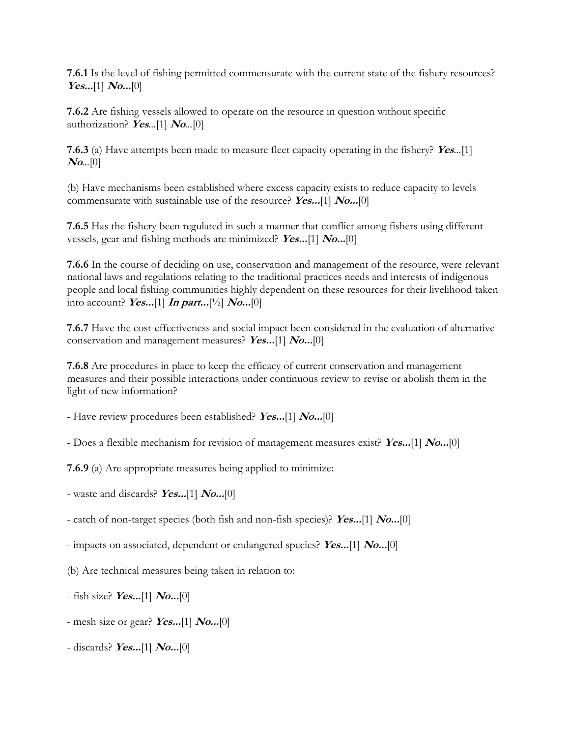**7.6.1** Is the level of fishing permitted commensurate with the current state of the fishery resources? **Yes...**[1] **No...**[0]

**7.6.2** Are fishing vessels allowed to operate on the resource in question without specific authorization? **Yes***...*[1] **No***...*[0]

**7.6.3** (a) Have attempts been made to measure fleet capacity operating in the fishery? **Yes***...*[1] **No***...*[0]

(b) Have mechanisms been established where excess capacity exists to reduce capacity to levels commensurate with sustainable use of the resource? **Yes...**[1] **No...**[0]

**7.6.5** Has the fishery been regulated in such a manner that conflict among fishers using different vessels, gear and fishing methods are minimized? **Yes...**[1] **No...**[0]

**7.6.6** In the course of deciding on use, conservation and management of the resource, were relevant national laws and regulations relating to the traditional practices needs and interests of indigenous people and local fishing communities highly dependent on these resources for their livelihood taken into account? **Yes...**[1] **In part...**[½] **No...**[0]

**7.6.7** Have the cost-effectiveness and social impact been considered in the evaluation of alternative conservation and management measures? **Yes...**[1] **No...**[0]

**7.6.8** Are procedures in place to keep the efficacy of current conservation and management measures and their possible interactions under continuous review to revise or abolish them in the light of new information?

- Have review procedures been established? **Yes...**[1] **No...**[0]

- Does a flexible mechanism for revision of management measures exist? **Yes...**[1] **No...**[0]

**7.6.9** (a) Are appropriate measures being applied to minimize:

- waste and discards? **Yes...**[1] **No...**[0]

- catch of non-target species (both fish and non-fish species)? **Yes...**[1] **No...**[0]

- impacts on associated, dependent or endangered species? **Yes...**[1] **No...**[0]

(b) Are technical measures being taken in relation to:

- fish size? **Yes...**[1] **No...**[0]

- mesh size or gear? **Yes...**[1] **No...**[0]
- discards? **Yes...**[1] **No...**[0]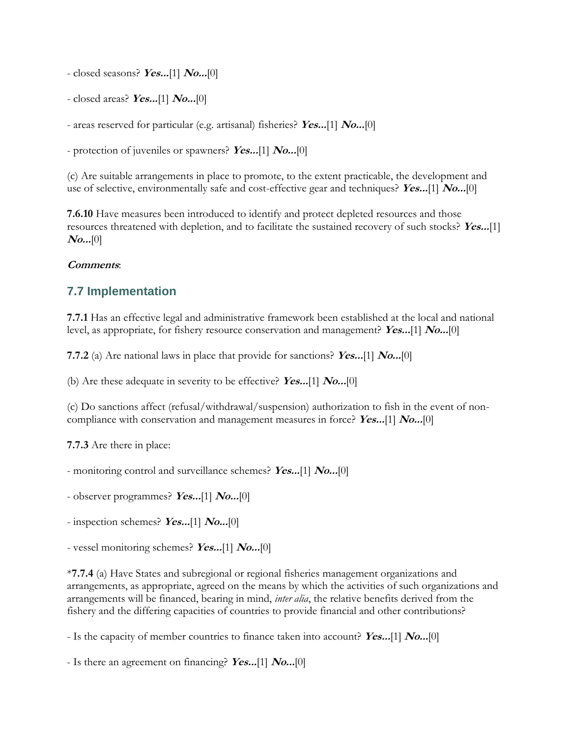- closed seasons? **Yes...**[1] **No...**[0]

- closed areas? **Yes...**[1] **No...**[0]

- areas reserved for particular (e.g. artisanal) fisheries? **Yes...**[1] **No...**[0]

- protection of juveniles or spawners? **Yes...**[1] **No...**[0]

(c) Are suitable arrangements in place to promote, to the extent practicable, the development and use of selective, environmentally safe and cost-effective gear and techniques? **Yes...**[1] **No...**[0]

**7.6.10** Have measures been introduced to identify and protect depleted resources and those resources threatened with depletion, and to facilitate the sustained recovery of such stocks? **Yes...**[1] **No...**[0]

#### **Comments**:

## **7.7 Implementation**

**7.7.1** Has an effective legal and administrative framework been established at the local and national level, as appropriate, for fishery resource conservation and management? **Yes...**[1] **No...**[0]

**7.7.2** (a) Are national laws in place that provide for sanctions? **Yes...**[1] **No...**[0]

(b) Are these adequate in severity to be effective? **Yes...**[1] **No...**[0]

(c) Do sanctions affect (refusal/withdrawal/suspension) authorization to fish in the event of noncompliance with conservation and management measures in force? **Yes...**[1] **No...**[0]

**7.7.3** Are there in place:

- monitoring control and surveillance schemes? **Yes...**[1] **No...**[0]

- observer programmes? **Yes...**[1] **No...**[0]

- inspection schemes? **Yes...**[1] **No...**[0]
- vessel monitoring schemes? **Yes...**[1] **No...**[0]

\***7.7.4** (a) Have States and subregional or regional fisheries management organizations and arrangements, as appropriate, agreed on the means by which the activities of such organizations and arrangements will be financed, bearing in mind, *inter alia*, the relative benefits derived from the fishery and the differing capacities of countries to provide financial and other contributions?

- Is the capacity of member countries to finance taken into account? **Yes...**[1] **No...**[0]

- Is there an agreement on financing? **Yes...**[1] **No...**[0]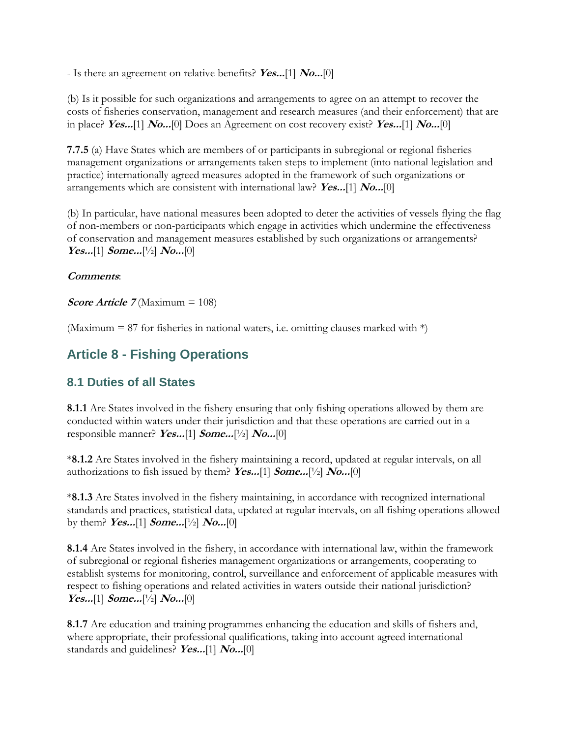- Is there an agreement on relative benefits? **Yes...**[1] **No...**[0]

(b) Is it possible for such organizations and arrangements to agree on an attempt to recover the costs of fisheries conservation, management and research measures (and their enforcement) that are in place? **Yes...**[1] **No...**[0] Does an Agreement on cost recovery exist? **Yes...**[1] **No...**[0]

**7.7.5** (a) Have States which are members of or participants in subregional or regional fisheries management organizations or arrangements taken steps to implement (into national legislation and practice) internationally agreed measures adopted in the framework of such organizations or arrangements which are consistent with international law? **Yes...**[1] **No...**[0]

(b) In particular, have national measures been adopted to deter the activities of vessels flying the flag of non-members or non-participants which engage in activities which undermine the effectiveness of conservation and management measures established by such organizations or arrangements? **Yes...**[1] **Some...**[½] **No...**[0]

### **Comments**:

**Score Article 7** (Maximum = 108)

(Maximum  $= 87$  for fisheries in national waters, i.e. omitting clauses marked with  $*)$ 

# **Article 8 - Fishing Operations**

## **8.1 Duties of all States**

**8.1.1** Are States involved in the fishery ensuring that only fishing operations allowed by them are conducted within waters under their jurisdiction and that these operations are carried out in a responsible manner? **Yes...**[1] **Some...**[½] **No...**[0]

\***8.1.2** Are States involved in the fishery maintaining a record, updated at regular intervals, on all authorizations to fish issued by them? **Yes...**[1] **Some...**[½] **No...**[0]

\***8.1.3** Are States involved in the fishery maintaining, in accordance with recognized international standards and practices, statistical data, updated at regular intervals, on all fishing operations allowed by them? **Yes...**[1] **Some...**[½] **No...**[0]

**8.1.4** Are States involved in the fishery, in accordance with international law, within the framework of subregional or regional fisheries management organizations or arrangements, cooperating to establish systems for monitoring, control, surveillance and enforcement of applicable measures with respect to fishing operations and related activities in waters outside their national jurisdiction? **Yes...**[1] **Some...**[½] **No...**[0]

**8.1.7** Are education and training programmes enhancing the education and skills of fishers and, where appropriate, their professional qualifications, taking into account agreed international standards and guidelines? **Yes...**[1] **No...**[0]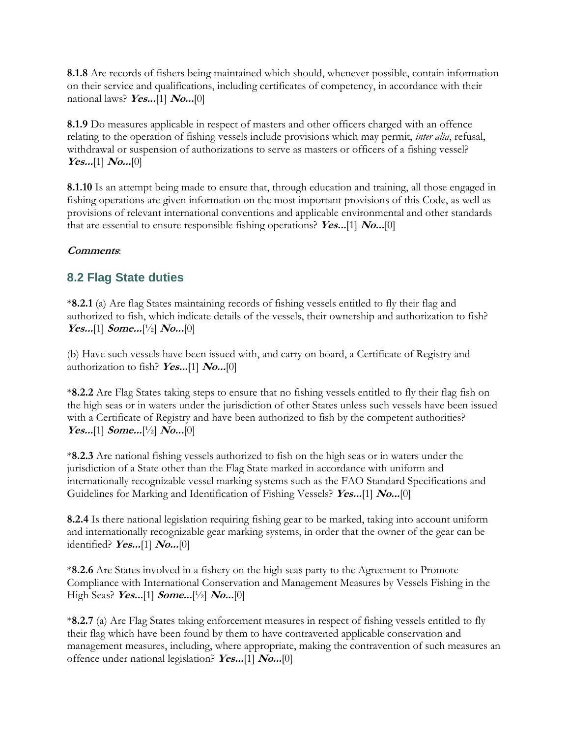**8.1.8** Are records of fishers being maintained which should, whenever possible, contain information on their service and qualifications, including certificates of competency, in accordance with their national laws? **Yes...**[1] **No...**[0]

**8.1.9** Do measures applicable in respect of masters and other officers charged with an offence relating to the operation of fishing vessels include provisions which may permit, *inter alia*, refusal, withdrawal or suspension of authorizations to serve as masters or officers of a fishing vessel? **Yes...**[1] **No...**[0]

**8.1.10** Is an attempt being made to ensure that, through education and training, all those engaged in fishing operations are given information on the most important provisions of this Code, as well as provisions of relevant international conventions and applicable environmental and other standards that are essential to ensure responsible fishing operations? **Yes...**[1] **No...**[0]

## **Comments**:

# **8.2 Flag State duties**

\***8.2.1** (a) Are flag States maintaining records of fishing vessels entitled to fly their flag and authorized to fish, which indicate details of the vessels, their ownership and authorization to fish? **Yes...**[1] **Some...**[½] **No...**[0]

(b) Have such vessels have been issued with, and carry on board, a Certificate of Registry and authorization to fish? **Yes...**[1] **No...**[0]

\***8.2.2** Are Flag States taking steps to ensure that no fishing vessels entitled to fly their flag fish on the high seas or in waters under the jurisdiction of other States unless such vessels have been issued with a Certificate of Registry and have been authorized to fish by the competent authorities? **Yes...**[1] **Some...**[½] **No...**[0]

\***8.2.3** Are national fishing vessels authorized to fish on the high seas or in waters under the jurisdiction of a State other than the Flag State marked in accordance with uniform and internationally recognizable vessel marking systems such as the FAO Standard Specifications and Guidelines for Marking and Identification of Fishing Vessels? **Yes...**[1] **No...**[0]

**8.2.4** Is there national legislation requiring fishing gear to be marked, taking into account uniform and internationally recognizable gear marking systems, in order that the owner of the gear can be identified? **Yes...**[1] **No...**[0]

\***8.2.6** Are States involved in a fishery on the high seas party to the Agreement to Promote Compliance with International Conservation and Management Measures by Vessels Fishing in the High Seas? **Yes...**[1] **Some...**[½] **No...**[0]

\***8.2.7** (a) Are Flag States taking enforcement measures in respect of fishing vessels entitled to fly their flag which have been found by them to have contravened applicable conservation and management measures, including, where appropriate, making the contravention of such measures an offence under national legislation? **Yes...**[1] **No...**[0]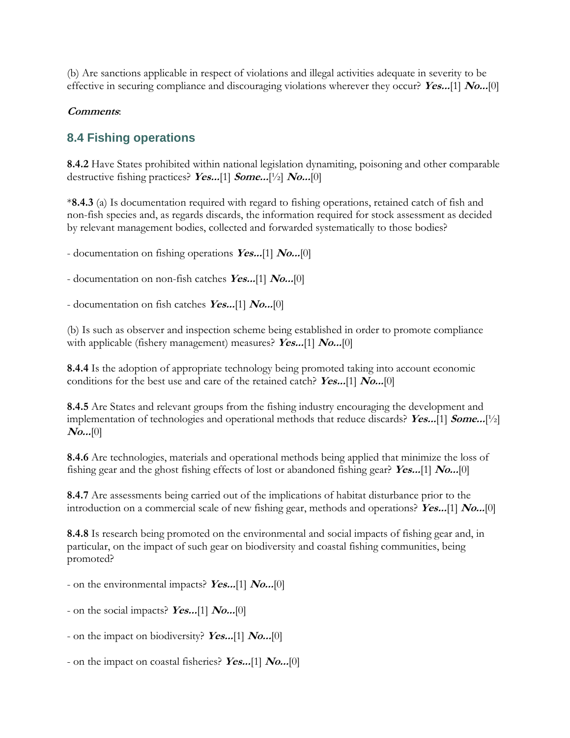(b) Are sanctions applicable in respect of violations and illegal activities adequate in severity to be effective in securing compliance and discouraging violations wherever they occur? **Yes...**[1] **No...**[0]

#### **Comments**:

## **8.4 Fishing operations**

**8.4.2** Have States prohibited within national legislation dynamiting, poisoning and other comparable destructive fishing practices? **Yes...**[1] **Some...**[½] **No...**[0]

\***8.4.3** (a) Is documentation required with regard to fishing operations, retained catch of fish and non-fish species and, as regards discards, the information required for stock assessment as decided by relevant management bodies, collected and forwarded systematically to those bodies?

- documentation on fishing operations **Yes...**[1] **No...**[0]

- documentation on non-fish catches **Yes...**[1] **No...**[0]

- documentation on fish catches **Yes...**[1] **No...**[0]

(b) Is such as observer and inspection scheme being established in order to promote compliance with applicable (fishery management) measures? **Yes...**[1] **No...**[0]

**8.4.4** Is the adoption of appropriate technology being promoted taking into account economic conditions for the best use and care of the retained catch? **Yes...**[1] **No...**[0]

**8.4.5** Are States and relevant groups from the fishing industry encouraging the development and implementation of technologies and operational methods that reduce discards? **Yes...**[1] **Some...**[½] **No...**[0]

**8.4.6** Are technologies, materials and operational methods being applied that minimize the loss of fishing gear and the ghost fishing effects of lost or abandoned fishing gear? **Yes...**[1] **No...**[0]

**8.4.7** Are assessments being carried out of the implications of habitat disturbance prior to the introduction on a commercial scale of new fishing gear, methods and operations? **Yes...**[1] **No...**[0]

**8.4.8** Is research being promoted on the environmental and social impacts of fishing gear and, in particular, on the impact of such gear on biodiversity and coastal fishing communities, being promoted?

- on the environmental impacts? **Yes...**[1] **No...**[0]

- on the social impacts? **Yes...**[1] **No...**[0]

- on the impact on biodiversity? **Yes...**[1] **No...**[0]

- on the impact on coastal fisheries? **Yes...**[1] **No...**[0]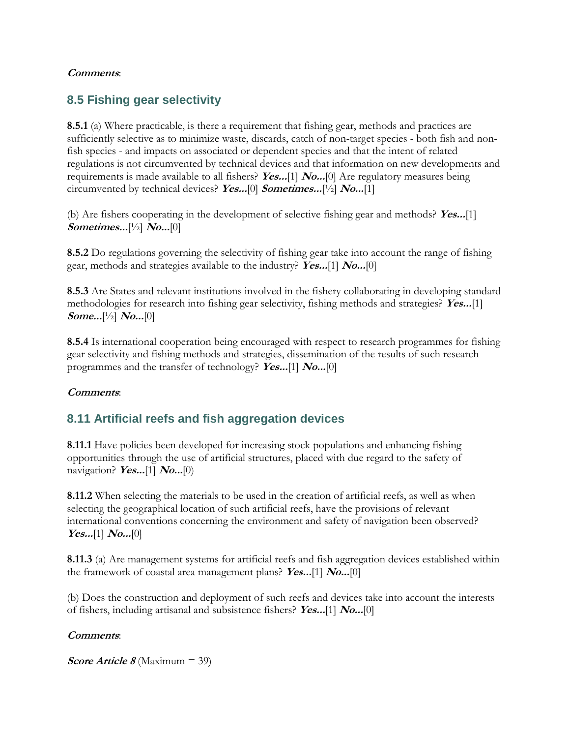#### **Comments**:

# **8.5 Fishing gear selectivity**

**8.5.1** (a) Where practicable, is there a requirement that fishing gear, methods and practices are sufficiently selective as to minimize waste, discards, catch of non-target species - both fish and nonfish species - and impacts on associated or dependent species and that the intent of related regulations is not circumvented by technical devices and that information on new developments and requirements is made available to all fishers? **Yes...**[1] **No...**[0] Are regulatory measures being circumvented by technical devices? **Yes...**[0] **Sometimes...**[½] **No...**[1]

(b) Are fishers cooperating in the development of selective fishing gear and methods? **Yes...**[1] **Sometimes...**[½] **No...**[0]

**8.5.2** Do regulations governing the selectivity of fishing gear take into account the range of fishing gear, methods and strategies available to the industry? **Yes...**[1] **No...**[0]

**8.5.3** Are States and relevant institutions involved in the fishery collaborating in developing standard methodologies for research into fishing gear selectivity, fishing methods and strategies? **Yes...**[1] **Some...**[½] **No...**[0]

**8.5.4** Is international cooperation being encouraged with respect to research programmes for fishing gear selectivity and fishing methods and strategies, dissemination of the results of such research programmes and the transfer of technology? **Yes...**[1] **No...**[0]

### **Comments**:

# **8.11 Artificial reefs and fish aggregation devices**

**8.11.1** Have policies been developed for increasing stock populations and enhancing fishing opportunities through the use of artificial structures, placed with due regard to the safety of navigation? **Yes...**[1] **No...**[0)

**8.11.2** When selecting the materials to be used in the creation of artificial reefs, as well as when selecting the geographical location of such artificial reefs, have the provisions of relevant international conventions concerning the environment and safety of navigation been observed? **Yes...**[1] **No...**[0]

**8.11.3** (a) Are management systems for artificial reefs and fish aggregation devices established within the framework of coastal area management plans? **Yes...**[1] **No...**[0]

(b) Does the construction and deployment of such reefs and devices take into account the interests of fishers, including artisanal and subsistence fishers? **Yes...**[1] **No...**[0]

### **Comments**:

**Score Article 8** (Maximum = 39)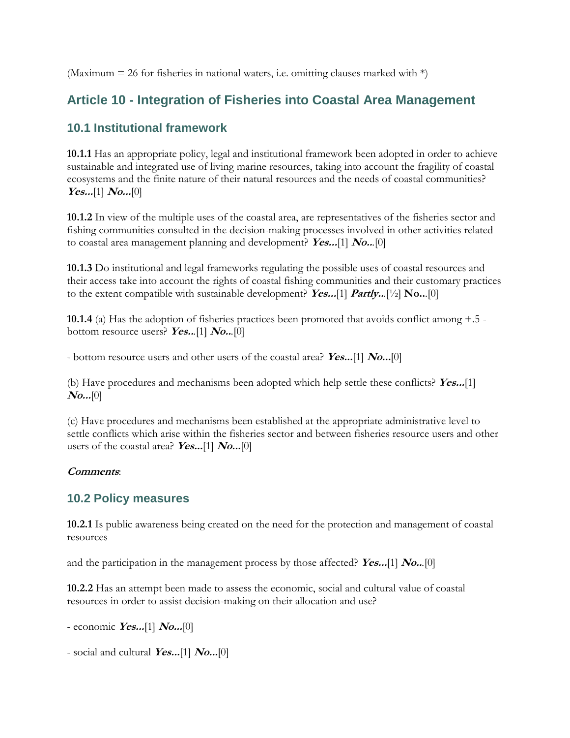(Maximum = 26 for fisheries in national waters, i.e. omitting clauses marked with  $*)$ )

# **Article 10 - Integration of Fisheries into Coastal Area Management**

# **10.1 Institutional framework**

**10.1.1** Has an appropriate policy, legal and institutional framework been adopted in order to achieve sustainable and integrated use of living marine resources, taking into account the fragility of coastal ecosystems and the finite nature of their natural resources and the needs of coastal communities? **Yes...**[1] **No...**[0]

**10.1.2** In view of the multiple uses of the coastal area, are representatives of the fisheries sector and fishing communities consulted in the decision-making processes involved in other activities related to coastal area management planning and development? **Yes...**[1] **No..***.*[0]

**10.1.3** Do institutional and legal frameworks regulating the possible uses of coastal resources and their access take into account the rights of coastal fishing communities and their customary practices to the extent compatible with sustainable development? **Yes...**[1] **Partly..***.*[½] **No..**.[0]

**10.1.4** (a) Has the adoption of fisheries practices been promoted that avoids conflict among +.5 bottom resource users? **Yes..***.*[1] **No..***.*[0]

- bottom resource users and other users of the coastal area? **Yes...**[1] **No...**[0]

(b) Have procedures and mechanisms been adopted which help settle these conflicts? **Yes...**[1] **No...**[0]

(c) Have procedures and mechanisms been established at the appropriate administrative level to settle conflicts which arise within the fisheries sector and between fisheries resource users and other users of the coastal area? **Yes...**[1] **No...**[0]

### **Comments**:

## **10.2 Policy measures**

**10.2.1** Is public awareness being created on the need for the protection and management of coastal resources

and the participation in the management process by those affected? **Yes...**[1] **No..***.*[0]

**10.2.2** Has an attempt been made to assess the economic, social and cultural value of coastal resources in order to assist decision-making on their allocation and use?

- economic **Yes...**[1] **No...**[0]

- social and cultural **Yes...**[1] **No...**[0]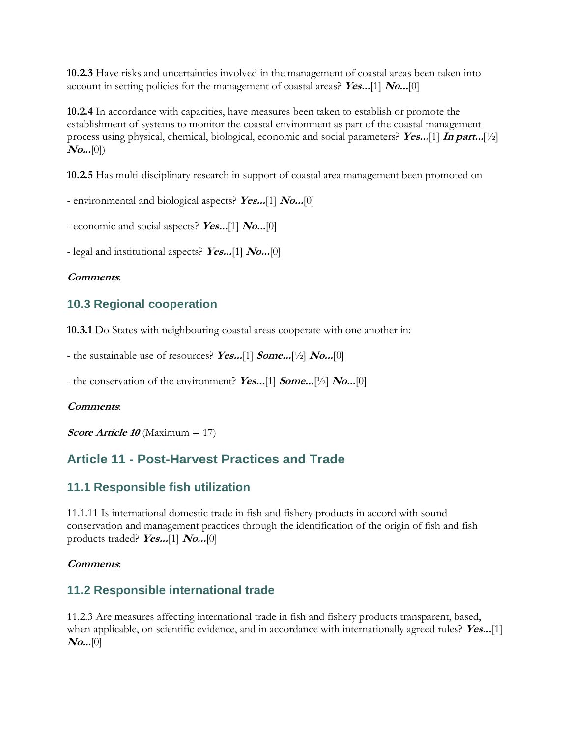**10.2.3** Have risks and uncertainties involved in the management of coastal areas been taken into account in setting policies for the management of coastal areas? **Yes...**[1] **No...**[0]

**10.2.4** In accordance with capacities, have measures been taken to establish or promote the establishment of systems to monitor the coastal environment as part of the coastal management process using physical, chemical, biological, economic and social parameters? **Yes...**[1] **In part...**[½]  $N_{0...}[0]$ 

**10.2.5** Has multi-disciplinary research in support of coastal area management been promoted on

- environmental and biological aspects? **Yes...**[1] **No...**[0]

- economic and social aspects? **Yes...**[1] **No...**[0]

- legal and institutional aspects? **Yes...**[1] **No...**[0]

#### **Comments**:

## **10.3 Regional cooperation**

**10.3.1** Do States with neighbouring coastal areas cooperate with one another in:

- the sustainable use of resources? **Yes...**[1] **Some...**[½] **No...**[0]

- the conservation of the environment? **Yes...**[1] **Some...**[½] **No...**[0]

#### **Comments**:

**Score Article 10** (Maximum = 17)

# **Article 11 - Post-Harvest Practices and Trade**

### **11.1 Responsible fish utilization**

11.1.11 Is international domestic trade in fish and fishery products in accord with sound conservation and management practices through the identification of the origin of fish and fish products traded? **Yes...**[1] **No...**[0]

#### **Comments**:

## **11.2 Responsible international trade**

11.2.3 Are measures affecting international trade in fish and fishery products transparent, based, when applicable, on scientific evidence, and in accordance with internationally agreed rules? **Yes...**[1] **No...**[0]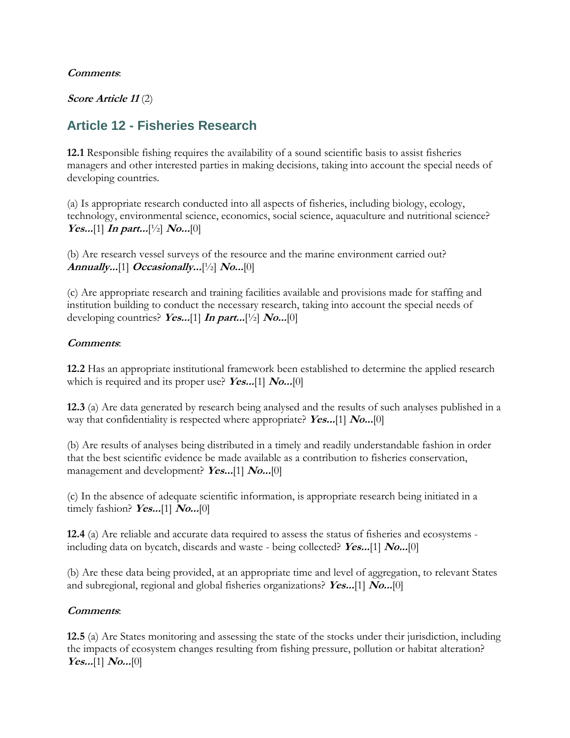#### **Comments**:

#### **Score Article 11** (2)

# **Article 12 - Fisheries Research**

**12.1** Responsible fishing requires the availability of a sound scientific basis to assist fisheries managers and other interested parties in making decisions, taking into account the special needs of developing countries.

(a) Is appropriate research conducted into all aspects of fisheries, including biology, ecology, technology, environmental science, economics, social science, aquaculture and nutritional science?  $Yes...[1]$  **In part...**[1/2]  $No...[0]$ 

(b) Are research vessel surveys of the resource and the marine environment carried out? **Annually...**[1] **Occasionally...**[½] **No...**[0]

(c) Are appropriate research and training facilities available and provisions made for staffing and institution building to conduct the necessary research, taking into account the special needs of developing countries? **Yes...**[1] **In part...**[½] **No...**[0]

#### **Comments**:

**12.2** Has an appropriate institutional framework been established to determine the applied research which is required and its proper use? **Yes...**[1] **No...**[0]

**12.3** (a) Are data generated by research being analysed and the results of such analyses published in a way that confidentiality is respected where appropriate? **Yes...**[1] **No...**[0]

(b) Are results of analyses being distributed in a timely and readily understandable fashion in order that the best scientific evidence be made available as a contribution to fisheries conservation, management and development? **Yes...**[1] **No...**[0]

(c) In the absence of adequate scientific information, is appropriate research being initiated in a timely fashion? **Yes...**[1] **No...**[0]

**12.4** (a) Are reliable and accurate data required to assess the status of fisheries and ecosystems including data on bycatch, discards and waste - being collected? **Yes...**[1] **No...**[0]

(b) Are these data being provided, at an appropriate time and level of aggregation, to relevant States and subregional, regional and global fisheries organizations? **Yes...**[1] **No...**[0]

### **Comments**:

**12.5** (a) Are States monitoring and assessing the state of the stocks under their jurisdiction, including the impacts of ecosystem changes resulting from fishing pressure, pollution or habitat alteration? **Yes...**[1] **No...**[0]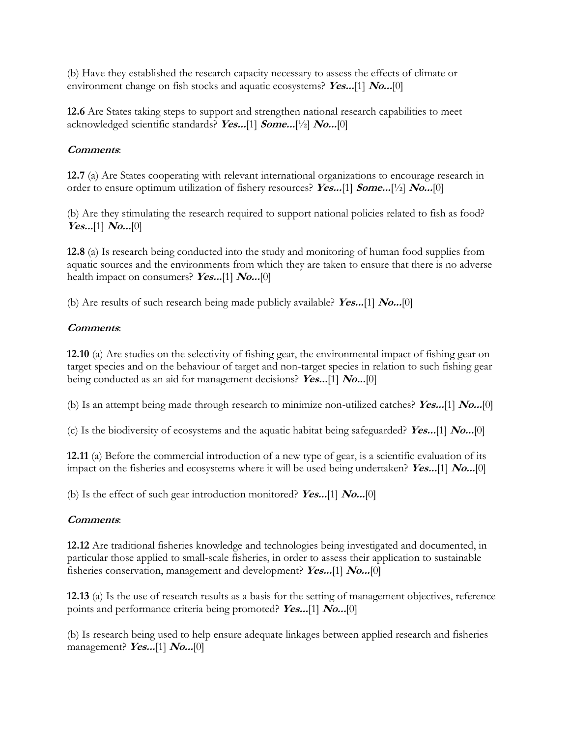(b) Have they established the research capacity necessary to assess the effects of climate or environment change on fish stocks and aquatic ecosystems? **Yes...**[1] **No...**[0]

**12.6** Are States taking steps to support and strengthen national research capabilities to meet acknowledged scientific standards? **Yes...**[1] **Some...**[½] **No...**[0]

### **Comments**:

**12.7** (a) Are States cooperating with relevant international organizations to encourage research in order to ensure optimum utilization of fishery resources? **Yes...**[1] **Some...**[½] **No...**[0]

(b) Are they stimulating the research required to support national policies related to fish as food? **Yes...**[1] **No...**[0]

**12.8** (a) Is research being conducted into the study and monitoring of human food supplies from aquatic sources and the environments from which they are taken to ensure that there is no adverse health impact on consumers? **Yes...**[1] **No...**[0]

(b) Are results of such research being made publicly available? **Yes...**[1] **No...**[0]

# **Comments**:

**12.10** (a) Are studies on the selectivity of fishing gear, the environmental impact of fishing gear on target species and on the behaviour of target and non-target species in relation to such fishing gear being conducted as an aid for management decisions? **Yes...**[1] **No...**[0]

(b) Is an attempt being made through research to minimize non-utilized catches? **Yes...**[1] **No...**[0]

(c) Is the biodiversity of ecosystems and the aquatic habitat being safeguarded? **Yes...**[1] **No...**[0]

**12.11** (a) Before the commercial introduction of a new type of gear, is a scientific evaluation of its impact on the fisheries and ecosystems where it will be used being undertaken? **Yes...**[1] **No...**[0]

(b) Is the effect of such gear introduction monitored? **Yes...**[1] **No...**[0]

## **Comments**:

**12.12** Are traditional fisheries knowledge and technologies being investigated and documented, in particular those applied to small-scale fisheries, in order to assess their application to sustainable fisheries conservation, management and development? **Yes...**[1] **No...**[0]

**12.13** (a) Is the use of research results as a basis for the setting of management objectives, reference points and performance criteria being promoted? **Yes...**[1] **No...**[0]

(b) Is research being used to help ensure adequate linkages between applied research and fisheries management? **Yes...**[1] **No...**[0]